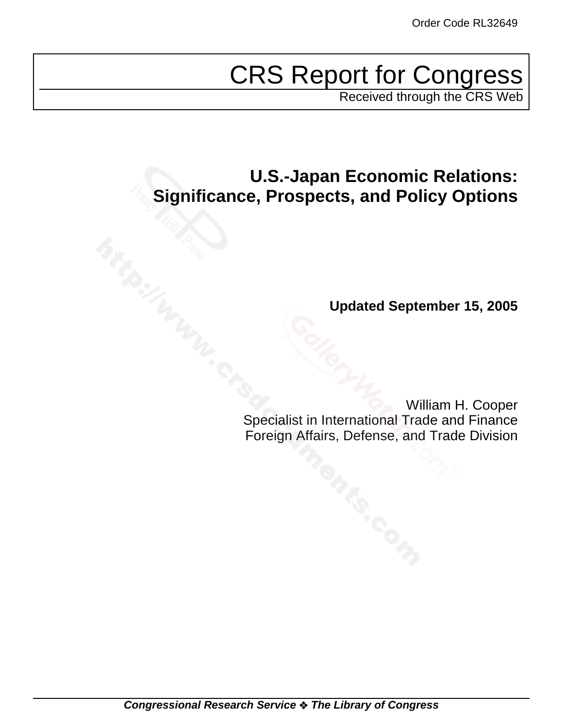# CRS Report for Congress

Received through the CRS Web

# **U.S.-Japan Economic Relations: Significance, Prospects, and Policy Options**

**Updated September 15, 2005**

William H. Cooper Specialist in International Trade and Finance Foreign Affairs, Defense, and Trade Division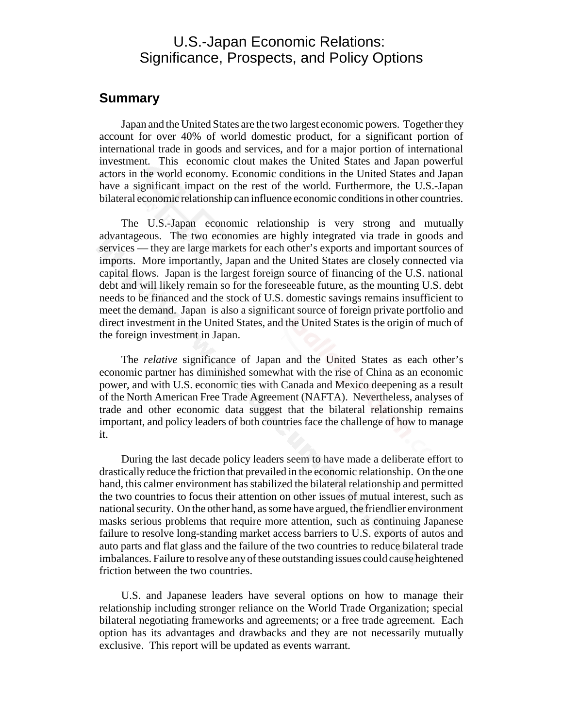# U.S.-Japan Economic Relations: Significance, Prospects, and Policy Options

#### **Summary**

Japan and the United States are the two largest economic powers. Together they account for over 40% of world domestic product, for a significant portion of international trade in goods and services, and for a major portion of international investment. This economic clout makes the United States and Japan powerful actors in the world economy. Economic conditions in the United States and Japan have a significant impact on the rest of the world. Furthermore, the U.S.-Japan bilateral economic relationship can influence economic conditions in other countries.

The U.S.-Japan economic relationship is very strong and mutually advantageous. The two economies are highly integrated via trade in goods and services — they are large markets for each other's exports and important sources of imports. More importantly, Japan and the United States are closely connected via capital flows. Japan is the largest foreign source of financing of the U.S. national debt and will likely remain so for the foreseeable future, as the mounting U.S. debt needs to be financed and the stock of U.S. domestic savings remains insufficient to meet the demand. Japan is also a significant source of foreign private portfolio and direct investment in the United States, and the United States is the origin of much of the foreign investment in Japan.

The *relative* significance of Japan and the United States as each other's economic partner has diminished somewhat with the rise of China as an economic power, and with U.S. economic ties with Canada and Mexico deepening as a result of the North American Free Trade Agreement (NAFTA). Nevertheless, analyses of trade and other economic data suggest that the bilateral relationship remains important, and policy leaders of both countries face the challenge of how to manage it.

During the last decade policy leaders seem to have made a deliberate effort to drastically reduce the friction that prevailed in the economic relationship. On the one hand, this calmer environment has stabilized the bilateral relationship and permitted the two countries to focus their attention on other issues of mutual interest, such as national security. On the other hand, as some have argued, the friendlier environment masks serious problems that require more attention, such as continuing Japanese failure to resolve long-standing market access barriers to U.S. exports of autos and auto parts and flat glass and the failure of the two countries to reduce bilateral trade imbalances. Failure to resolve any of these outstanding issues could cause heightened friction between the two countries.

U.S. and Japanese leaders have several options on how to manage their relationship including stronger reliance on the World Trade Organization; special bilateral negotiating frameworks and agreements; or a free trade agreement. Each option has its advantages and drawbacks and they are not necessarily mutually exclusive. This report will be updated as events warrant.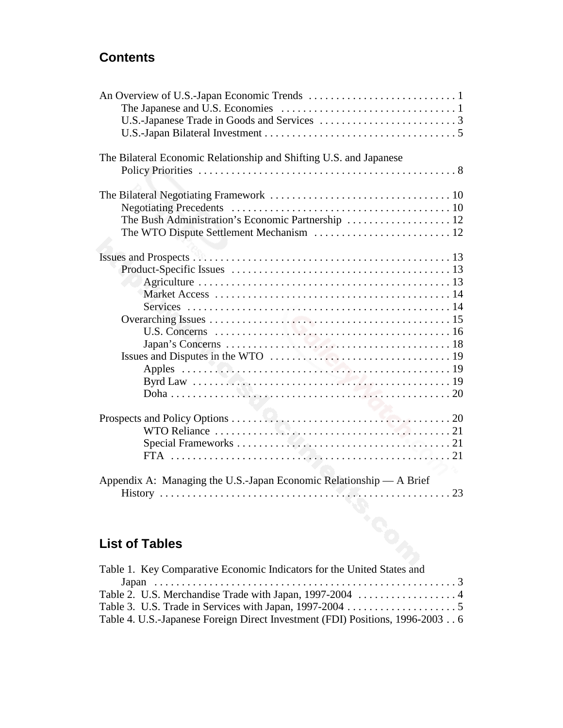# **Contents**

| The Bilateral Economic Relationship and Shifting U.S. and Japanese  |  |
|---------------------------------------------------------------------|--|
|                                                                     |  |
|                                                                     |  |
|                                                                     |  |
|                                                                     |  |
|                                                                     |  |
|                                                                     |  |
|                                                                     |  |
|                                                                     |  |
|                                                                     |  |
|                                                                     |  |
|                                                                     |  |
|                                                                     |  |
|                                                                     |  |
|                                                                     |  |
|                                                                     |  |
|                                                                     |  |
|                                                                     |  |
|                                                                     |  |
|                                                                     |  |
|                                                                     |  |
|                                                                     |  |
|                                                                     |  |
|                                                                     |  |
|                                                                     |  |
| Appendix A: Managing the U.S.-Japan Economic Relationship - A Brief |  |
|                                                                     |  |
|                                                                     |  |

# **List of Tables**

| Table 1. Key Comparative Economic Indicators for the United States and        |  |
|-------------------------------------------------------------------------------|--|
|                                                                               |  |
|                                                                               |  |
|                                                                               |  |
| Table 4. U.S.-Japanese Foreign Direct Investment (FDI) Positions, 1996-2003 6 |  |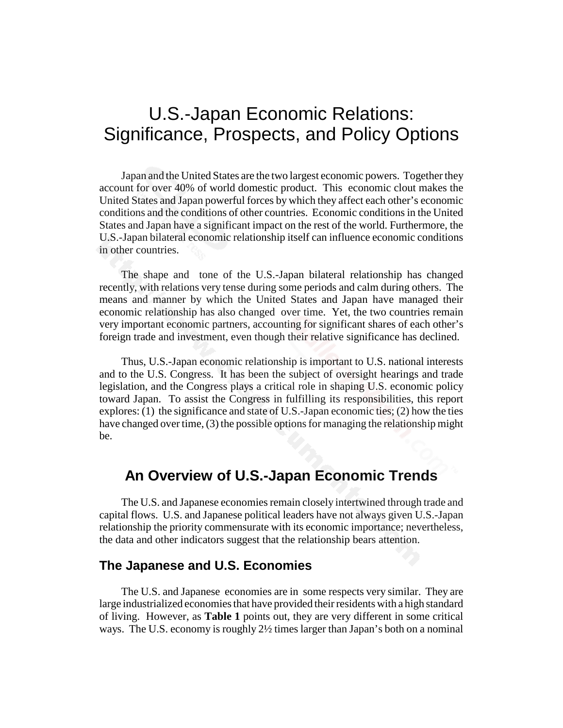# U.S.-Japan Economic Relations: Significance, Prospects, and Policy Options

Japan and the United States are the two largest economic powers. Together they account for over 40% of world domestic product. This economic clout makes the United States and Japan powerful forces by which they affect each other's economic conditions and the conditions of other countries. Economic conditions in the United States and Japan have a significant impact on the rest of the world. Furthermore, the U.S.-Japan bilateral economic relationship itself can influence economic conditions in other countries.

The shape and tone of the U.S.-Japan bilateral relationship has changed recently, with relations very tense during some periods and calm during others. The means and manner by which the United States and Japan have managed their economic relationship has also changed over time. Yet, the two countries remain very important economic partners, accounting for significant shares of each other's foreign trade and investment, even though their relative significance has declined.

Thus, U.S.-Japan economic relationship is important to U.S. national interests and to the U.S. Congress. It has been the subject of oversight hearings and trade legislation, and the Congress plays a critical role in shaping U.S. economic policy toward Japan. To assist the Congress in fulfilling its responsibilities, this report explores: (1) the significance and state of U.S.-Japan economic ties; (2) how the ties have changed over time, (3) the possible options for managing the relationship might be.

# **An Overview of U.S.-Japan Economic Trends**

The U.S. and Japanese economies remain closely intertwined through trade and capital flows. U.S. and Japanese political leaders have not always given U.S.-Japan relationship the priority commensurate with its economic importance; nevertheless, the data and other indicators suggest that the relationship bears attention.

# **The Japanese and U.S. Economies**

The U.S. and Japanese economies are in some respects very similar. They are large industrialized economies that have provided their residents with a high standard of living. However, as **Table 1** points out, they are very different in some critical ways. The U.S. economy is roughly 2½ times larger than Japan's both on a nominal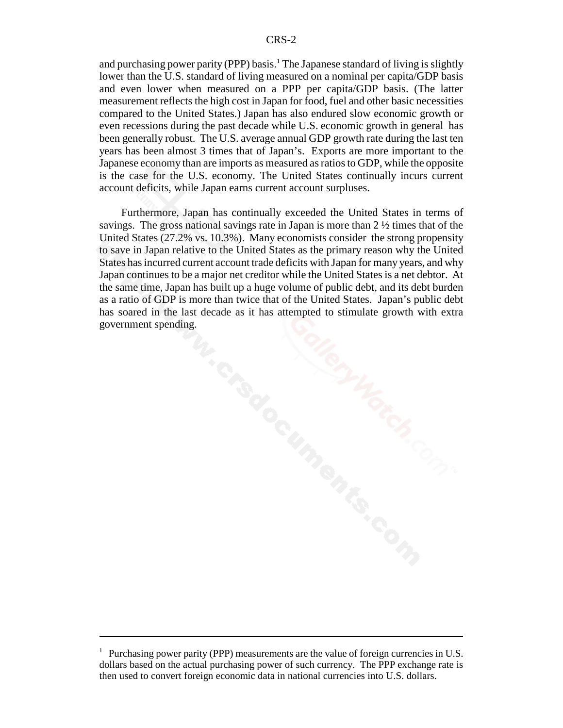and purchasing power parity (PPP) basis.<sup>1</sup> The Japanese standard of living is slightly lower than the U.S. standard of living measured on a nominal per capita/GDP basis and even lower when measured on a PPP per capita/GDP basis. (The latter measurement reflects the high cost in Japan for food, fuel and other basic necessities compared to the United States.) Japan has also endured slow economic growth or even recessions during the past decade while U.S. economic growth in general has been generally robust. The U.S. average annual GDP growth rate during the last ten years has been almost 3 times that of Japan's. Exports are more important to the Japanese economy than are imports as measured as ratios to GDP, while the opposite is the case for the U.S. economy. The United States continually incurs current account deficits, while Japan earns current account surpluses.

Furthermore, Japan has continually exceeded the United States in terms of savings. The gross national savings rate in Japan is more than  $2\frac{1}{2}$  times that of the United States (27.2% vs. 10.3%). Many economists consider the strong propensity to save in Japan relative to the United States as the primary reason why the United States has incurred current account trade deficits with Japan for many years, and why Japan continues to be a major net creditor while the United States is a net debtor. At the same time, Japan has built up a huge volume of public debt, and its debt burden as a ratio of GDP is more than twice that of the United States. Japan's public debt has soared in the last decade as it has attempted to stimulate growth with extra government spending.

<sup>&</sup>lt;sup>1</sup> Purchasing power parity (PPP) measurements are the value of foreign currencies in U.S. dollars based on the actual purchasing power of such currency. The PPP exchange rate is then used to convert foreign economic data in national currencies into U.S. dollars.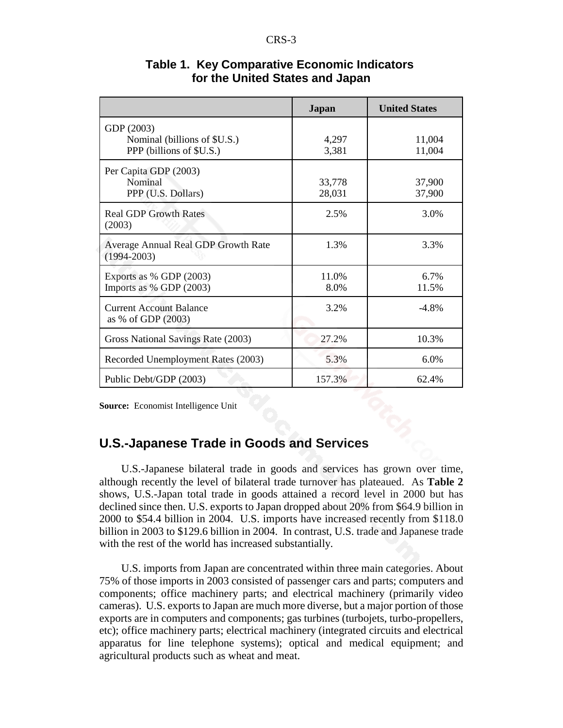|                                                                        | <b>Japan</b>     | <b>United States</b> |
|------------------------------------------------------------------------|------------------|----------------------|
| GDP (2003)<br>Nominal (billions of \$U.S.)<br>PPP (billions of \$U.S.) | 4,297<br>3,381   | 11,004<br>11,004     |
| Per Capita GDP (2003)<br>Nominal<br>PPP (U.S. Dollars)                 | 33,778<br>28,031 | 37,900<br>37,900     |
| <b>Real GDP Growth Rates</b><br>(2003)                                 | 2.5%             | 3.0%                 |
| Average Annual Real GDP Growth Rate<br>$(1994 - 2003)$                 | 1.3%             | 3.3%                 |
| Exports as % GDP $(2003)$<br>Imports as % GDP (2003)                   | 11.0%<br>8.0%    | 6.7%<br>11.5%        |
| <b>Current Account Balance</b><br>as % of GDP (2003)                   | 3.2%             | $-4.8%$              |
| Gross National Savings Rate (2003)                                     | 27.2%            | 10.3%                |
| Recorded Unemployment Rates (2003)                                     | 5.3%             | 6.0%                 |
| Public Debt/GDP (2003)                                                 | 157.3%           | 62.4%                |

#### **Table 1. Key Comparative Economic Indicators for the United States and Japan**

**Source:** Economist Intelligence Unit

### **U.S.-Japanese Trade in Goods and Services**

U.S.-Japanese bilateral trade in goods and services has grown over time, although recently the level of bilateral trade turnover has plateaued. As **Table 2** shows, U.S.-Japan total trade in goods attained a record level in 2000 but has declined since then. U.S. exports to Japan dropped about 20% from \$64.9 billion in 2000 to \$54.4 billion in 2004. U.S. imports have increased recently from \$118.0 billion in 2003 to \$129.6 billion in 2004. In contrast, U.S. trade and Japanese trade with the rest of the world has increased substantially.

U.S. imports from Japan are concentrated within three main categories. About 75% of those imports in 2003 consisted of passenger cars and parts; computers and components; office machinery parts; and electrical machinery (primarily video cameras). U.S. exports to Japan are much more diverse, but a major portion of those exports are in computers and components; gas turbines (turbojets, turbo-propellers, etc); office machinery parts; electrical machinery (integrated circuits and electrical apparatus for line telephone systems); optical and medical equipment; and agricultural products such as wheat and meat.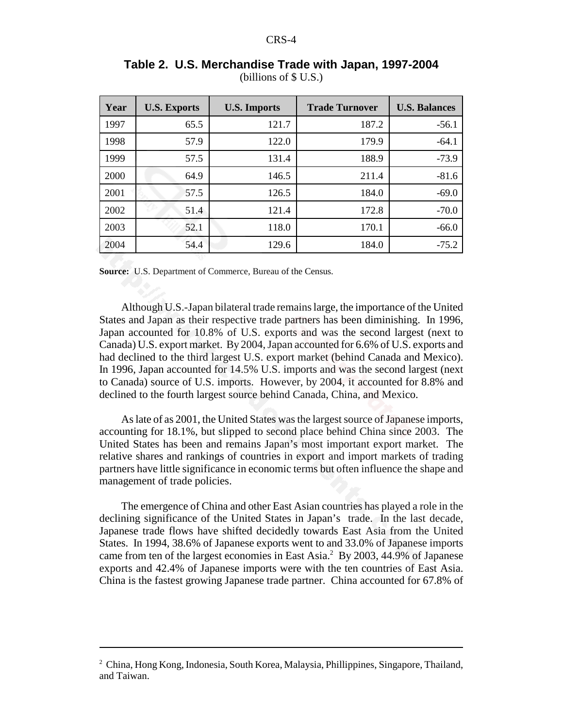| Year | <b>U.S. Exports</b> | <b>U.S. Imports</b> | <b>Trade Turnover</b> | <b>U.S. Balances</b> |
|------|---------------------|---------------------|-----------------------|----------------------|
| 1997 | 65.5                | 121.7               | 187.2                 | $-56.1$              |
| 1998 | 57.9                | 122.0               | 179.9                 | $-64.1$              |
| 1999 | 57.5                | 131.4               | 188.9                 | $-73.9$              |
| 2000 | 64.9                | 146.5               | 211.4                 | $-81.6$              |
| 2001 | 57.5                | 126.5               | 184.0                 | $-69.0$              |
| 2002 | 51.4                | 121.4               | 172.8                 | $-70.0$              |
| 2003 | 52.1                | 118.0               | 170.1                 | $-66.0$              |
| 2004 | 54.4                | 129.6               | 184.0                 | $-75.2$              |

**Table 2. U.S. Merchandise Trade with Japan, 1997-2004** (billions of \$ U.S.)

**Source:** U.S. Department of Commerce, Bureau of the Census.

Although U.S.-Japan bilateral trade remains large, the importance of the United States and Japan as their respective trade partners has been diminishing. In 1996, Japan accounted for 10.8% of U.S. exports and was the second largest (next to Canada) U.S. export market. By 2004, Japan accounted for 6.6% of U.S. exports and had declined to the third largest U.S. export market (behind Canada and Mexico). In 1996, Japan accounted for 14.5% U.S. imports and was the second largest (next to Canada) source of U.S. imports. However, by 2004, it accounted for 8.8% and declined to the fourth largest source behind Canada, China, and Mexico.

As late of as 2001, the United States was the largest source of Japanese imports, accounting for 18.1%, but slipped to second place behind China since 2003. The United States has been and remains Japan's most important export market. The relative shares and rankings of countries in export and import markets of trading partners have little significance in economic terms but often influence the shape and management of trade policies.

The emergence of China and other East Asian countries has played a role in the declining significance of the United States in Japan's trade. In the last decade, Japanese trade flows have shifted decidedly towards East Asia from the United States. In 1994, 38.6% of Japanese exports went to and 33.0% of Japanese imports came from ten of the largest economies in East Asia.<sup>2</sup> By 2003, 44.9% of Japanese exports and 42.4% of Japanese imports were with the ten countries of East Asia. China is the fastest growing Japanese trade partner. China accounted for 67.8% of

<sup>&</sup>lt;sup>2</sup> China, Hong Kong, Indonesia, South Korea, Malaysia, Phillippines, Singapore, Thailand, and Taiwan.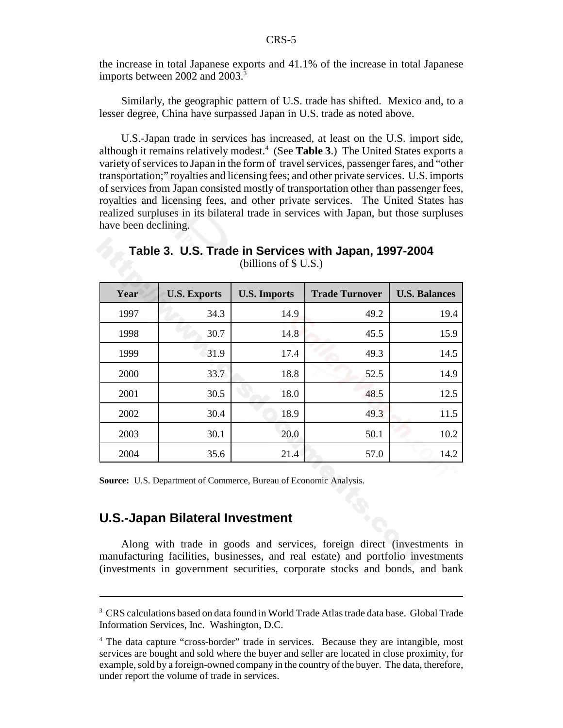the increase in total Japanese exports and 41.1% of the increase in total Japanese imports between 2002 and 2003.<sup>3</sup>

Similarly, the geographic pattern of U.S. trade has shifted. Mexico and, to a lesser degree, China have surpassed Japan in U.S. trade as noted above.

U.S.-Japan trade in services has increased, at least on the U.S. import side, although it remains relatively modest.4 (See **Table 3**.) The United States exports a variety of services to Japan in the form of travel services, passenger fares, and "other transportation;" royalties and licensing fees; and other private services. U.S. imports of services from Japan consisted mostly of transportation other than passenger fees, royalties and licensing fees, and other private services. The United States has realized surpluses in its bilateral trade in services with Japan, but those surpluses have been declining.

**Table 3. U.S. Trade in Services with Japan, 1997-2004** (billions of \$ U.S.)

| Year | <b>U.S. Exports</b> | <b>U.S. Imports</b> | <b>Trade Turnover</b> | <b>U.S. Balances</b> |
|------|---------------------|---------------------|-----------------------|----------------------|
| 1997 | 34.3                | 14.9                | 49.2                  | 19.4                 |
| 1998 | 30.7                | 14.8                | 45.5                  | 15.9                 |
| 1999 | 31.9                | 17.4                | 49.3                  | 14.5                 |
| 2000 | 33.7                | 18.8                | 52.5                  | 14.9                 |
| 2001 | 30.5                | 18.0                | 48.5                  | 12.5                 |
| 2002 | 30.4                | 18.9                | 49.3                  | 11.5                 |
| 2003 | 30.1                | 20.0                | 50.1                  | 10.2                 |
| 2004 | 35.6                | 21.4                | 57.0                  | 14.2                 |

**Source:** U.S. Department of Commerce, Bureau of Economic Analysis.

### **U.S.-Japan Bilateral Investment**

Along with trade in goods and services, foreign direct (investments in manufacturing facilities, businesses, and real estate) and portfolio investments (investments in government securities, corporate stocks and bonds, and bank

<sup>&</sup>lt;sup>3</sup> CRS calculations based on data found in World Trade Atlas trade data base. Global Trade Information Services, Inc. Washington, D.C.

<sup>&</sup>lt;sup>4</sup> The data capture "cross-border" trade in services. Because they are intangible, most services are bought and sold where the buyer and seller are located in close proximity, for example, sold by a foreign-owned company in the country of the buyer. The data, therefore, under report the volume of trade in services.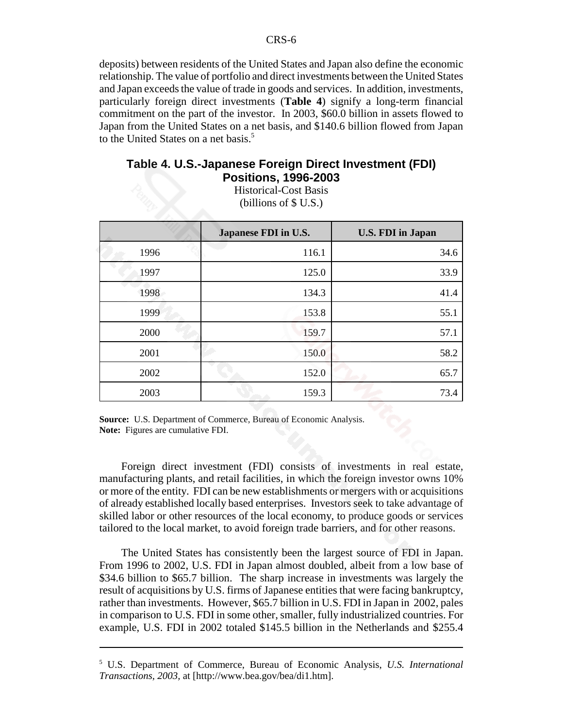deposits) between residents of the United States and Japan also define the economic relationship. The value of portfolio and direct investments between the United States and Japan exceeds the value of trade in goods and services. In addition, investments, particularly foreign direct investments (**Table 4**) signify a long-term financial commitment on the part of the investor. In 2003, \$60.0 billion in assets flowed to Japan from the United States on a net basis, and \$140.6 billion flowed from Japan to the United States on a net basis.<sup>5</sup>

#### **Table 4. U.S.-Japanese Foreign Direct Investment (FDI) Positions, 1996-2003**

Historical-Cost Basis (billions of \$ U.S.)

|      | Japanese FDI in U.S. | <b>U.S. FDI</b> in Japan |
|------|----------------------|--------------------------|
| 1996 | 116.1                | 34.6                     |
| 1997 | 125.0                | 33.9                     |
| 1998 | 134.3                | 41.4                     |
| 1999 | 153.8                | 55.1                     |
| 2000 | 159.7                | 57.1                     |
| 2001 | 150.0                | 58.2                     |
| 2002 | 152.0                | 65.7                     |
| 2003 | 159.3                | 73.4                     |

**Source:** U.S. Department of Commerce, Bureau of Economic Analysis. **Note:** Figures are cumulative FDI.

Foreign direct investment (FDI) consists of investments in real estate, manufacturing plants, and retail facilities, in which the foreign investor owns 10% or more of the entity. FDI can be new establishments or mergers with or acquisitions of already established locally based enterprises. Investors seek to take advantage of skilled labor or other resources of the local economy, to produce goods or services tailored to the local market, to avoid foreign trade barriers, and for other reasons.

The United States has consistently been the largest source of FDI in Japan. From 1996 to 2002, U.S. FDI in Japan almost doubled, albeit from a low base of \$34.6 billion to \$65.7 billion. The sharp increase in investments was largely the result of acquisitions by U.S. firms of Japanese entities that were facing bankruptcy, rather than investments. However, \$65.7 billion in U.S. FDI in Japan in 2002, pales in comparison to U.S. FDI in some other, smaller, fully industrialized countries. For example, U.S. FDI in 2002 totaled \$145.5 billion in the Netherlands and \$255.4

<sup>5</sup> U.S. Department of Commerce, Bureau of Economic Analysis, *U.S. International Transactions, 2003,* at [http://www.bea.gov/bea/di1.htm].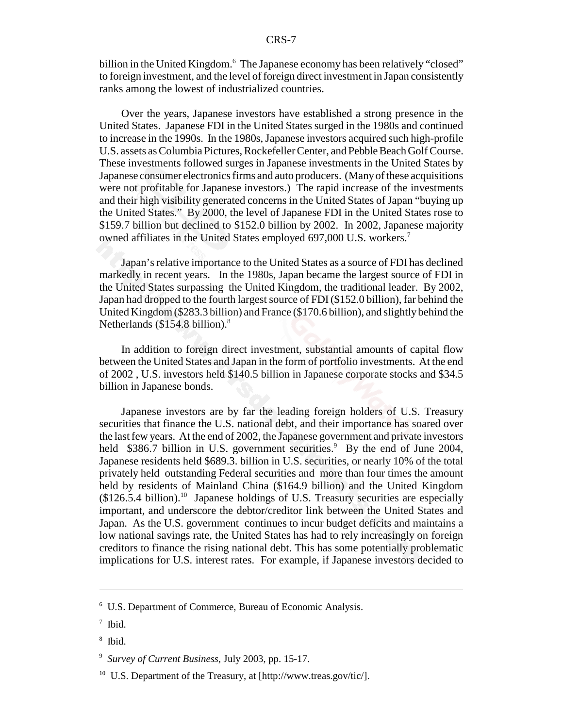billion in the United Kingdom.<sup>6</sup> The Japanese economy has been relatively "closed" to foreign investment, and the level of foreign direct investment in Japan consistently ranks among the lowest of industrialized countries.

Over the years, Japanese investors have established a strong presence in the United States. Japanese FDI in the United States surged in the 1980s and continued to increase in the 1990s. In the 1980s, Japanese investors acquired such high-profile U.S. assets as Columbia Pictures, Rockefeller Center, and Pebble Beach Golf Course. These investments followed surges in Japanese investments in the United States by Japanese consumer electronics firms and auto producers. (Many of these acquisitions were not profitable for Japanese investors.) The rapid increase of the investments and their high visibility generated concerns in the United States of Japan "buying up the United States." By 2000, the level of Japanese FDI in the United States rose to \$159.7 billion but declined to \$152.0 billion by 2002. In 2002, Japanese majority owned affiliates in the United States employed 697,000 U.S. workers.<sup>7</sup>

Japan's relative importance to the United States as a source of FDI has declined markedly in recent years. In the 1980s, Japan became the largest source of FDI in the United States surpassing the United Kingdom, the traditional leader. By 2002, Japan had dropped to the fourth largest source of FDI (\$152.0 billion), far behind the United Kingdom (\$283.3 billion) and France (\$170.6 billion), and slightly behind the Netherlands (\$154.8 billion).<sup>8</sup>

In addition to foreign direct investment, substantial amounts of capital flow between the United States and Japan in the form of portfolio investments. At the end of 2002 , U.S. investors held \$140.5 billion in Japanese corporate stocks and \$34.5 billion in Japanese bonds.

Japanese investors are by far the leading foreign holders of U.S. Treasury securities that finance the U.S. national debt, and their importance has soared over the last few years. At the end of 2002, the Japanese government and private investors held \$386.7 billion in U.S. government securities.<sup>9</sup> By the end of June 2004, Japanese residents held \$689.3. billion in U.S. securities, or nearly 10% of the total privately held outstanding Federal securities and more than four times the amount held by residents of Mainland China (\$164.9 billion) and the United Kingdom  $($126.5.4 billion).$ <sup>10</sup> Japanese holdings of U.S. Treasury securities are especially important, and underscore the debtor/creditor link between the United States and Japan. As the U.S. government continues to incur budget deficits and maintains a low national savings rate, the United States has had to rely increasingly on foreign creditors to finance the rising national debt. This has some potentially problematic implications for U.S. interest rates. For example, if Japanese investors decided to

<sup>6</sup> U.S. Department of Commerce, Bureau of Economic Analysis.

<sup>7</sup> Ibid.

<sup>8</sup> Ibid.

<sup>9</sup> *Survey of Current Business,* July 2003, pp. 15-17.

 $10$  U.S. Department of the Treasury, at [http://www.treas.gov/tic/].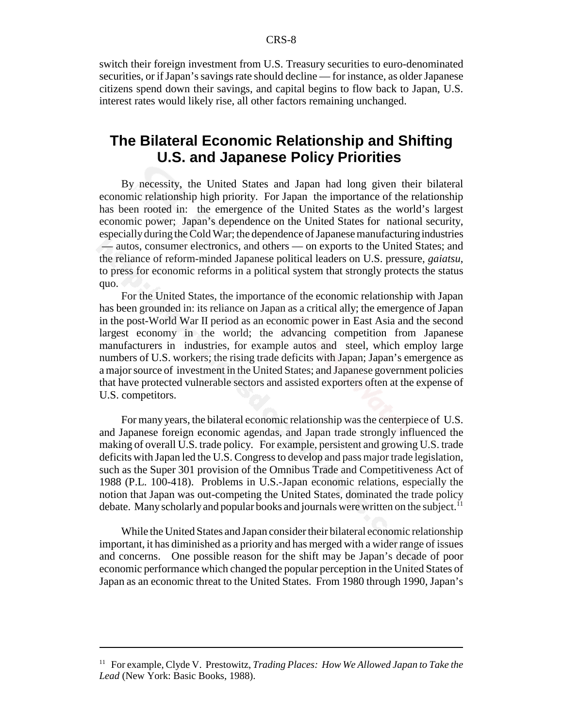switch their foreign investment from U.S. Treasury securities to euro-denominated securities, or if Japan's savings rate should decline — for instance, as older Japanese citizens spend down their savings, and capital begins to flow back to Japan, U.S. interest rates would likely rise, all other factors remaining unchanged.

# **The Bilateral Economic Relationship and Shifting U.S. and Japanese Policy Priorities**

By necessity, the United States and Japan had long given their bilateral economic relationship high priority. For Japan the importance of the relationship has been rooted in: the emergence of the United States as the world's largest economic power; Japan's dependence on the United States for national security, especially during the Cold War; the dependence of Japanese manufacturing industries — autos, consumer electronics, and others — on exports to the United States; and the reliance of reform-minded Japanese political leaders on U.S. pressure, *gaiatsu*, to press for economic reforms in a political system that strongly protects the status quo.

For the United States, the importance of the economic relationship with Japan has been grounded in: its reliance on Japan as a critical ally; the emergence of Japan in the post-World War II period as an economic power in East Asia and the second largest economy in the world; the advancing competition from Japanese manufacturers in industries, for example autos and steel, which employ large numbers of U.S. workers; the rising trade deficits with Japan; Japan's emergence as a major source of investment in the United States; and Japanese government policies that have protected vulnerable sectors and assisted exporters often at the expense of U.S. competitors.

For many years, the bilateral economic relationship was the centerpiece of U.S. and Japanese foreign economic agendas, and Japan trade strongly influenced the making of overall U.S. trade policy. For example, persistent and growing U.S. trade deficits with Japan led the U.S. Congress to develop and pass major trade legislation, such as the Super 301 provision of the Omnibus Trade and Competitiveness Act of 1988 (P.L. 100-418). Problems in U.S.-Japan economic relations, especially the notion that Japan was out-competing the United States, dominated the trade policy debate. Many scholarly and popular books and journals were written on the subject.<sup>11</sup>

While the United States and Japan consider their bilateral economic relationship important, it has diminished as a priority and has merged with a wider range of issues and concerns. One possible reason for the shift may be Japan's decade of poor economic performance which changed the popular perception in the United States of Japan as an economic threat to the United States. From 1980 through 1990, Japan's

<sup>11</sup> For example, Clyde V. Prestowitz, *Trading Places: How We Allowed Japan to Take the Lead* (New York: Basic Books, 1988).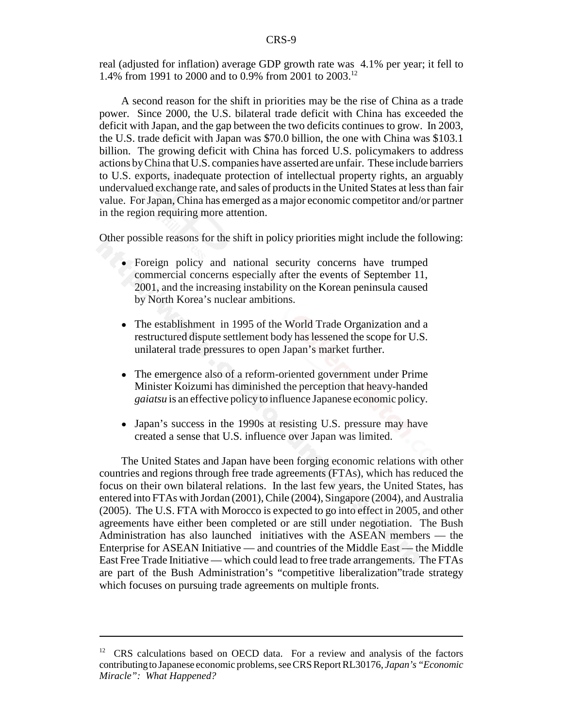real (adjusted for inflation) average GDP growth rate was 4.1% per year; it fell to 1.4% from 1991 to 2000 and to 0.9% from 2001 to 2003.12

A second reason for the shift in priorities may be the rise of China as a trade power. Since 2000, the U.S. bilateral trade deficit with China has exceeded the deficit with Japan, and the gap between the two deficits continues to grow. In 2003, the U.S. trade deficit with Japan was \$70.0 billion, the one with China was \$103.1 billion. The growing deficit with China has forced U.S. policymakers to address actions by China that U.S. companies have asserted are unfair. These include barriers to U.S. exports, inadequate protection of intellectual property rights, an arguably undervalued exchange rate, and sales of products in the United States at less than fair value. For Japan, China has emerged as a major economic competitor and/or partner in the region requiring more attention.

Other possible reasons for the shift in policy priorities might include the following:

- ! Foreign policy and national security concerns have trumped commercial concerns especially after the events of September 11, 2001, and the increasing instability on the Korean peninsula caused by North Korea's nuclear ambitions.
- The establishment in 1995 of the World Trade Organization and a restructured dispute settlement body has lessened the scope for U.S. unilateral trade pressures to open Japan's market further.
- The emergence also of a reform-oriented government under Prime Minister Koizumi has diminished the perception that heavy-handed *gaiatsu* is an effective policy to influence Japanese economic policy.
- Japan's success in the 1990s at resisting U.S. pressure may have created a sense that U.S. influence over Japan was limited.

The United States and Japan have been forging economic relations with other countries and regions through free trade agreements (FTAs), which has reduced the focus on their own bilateral relations. In the last few years, the United States, has entered into FTAs with Jordan (2001), Chile (2004), Singapore (2004), and Australia (2005). The U.S. FTA with Morocco is expected to go into effect in 2005, and other agreements have either been completed or are still under negotiation. The Bush Administration has also launched initiatives with the ASEAN members — the Enterprise for ASEAN Initiative — and countries of the Middle East — the Middle East Free Trade Initiative — which could lead to free trade arrangements. The FTAs are part of the Bush Administration's "competitive liberalization"trade strategy which focuses on pursuing trade agreements on multiple fronts.

<sup>&</sup>lt;sup>12</sup> CRS calculations based on OECD data. For a review and analysis of the factors contributing to Japanese economic problems, see CRS Report RL30176, *Japan's "Economic Miracle": What Happened?*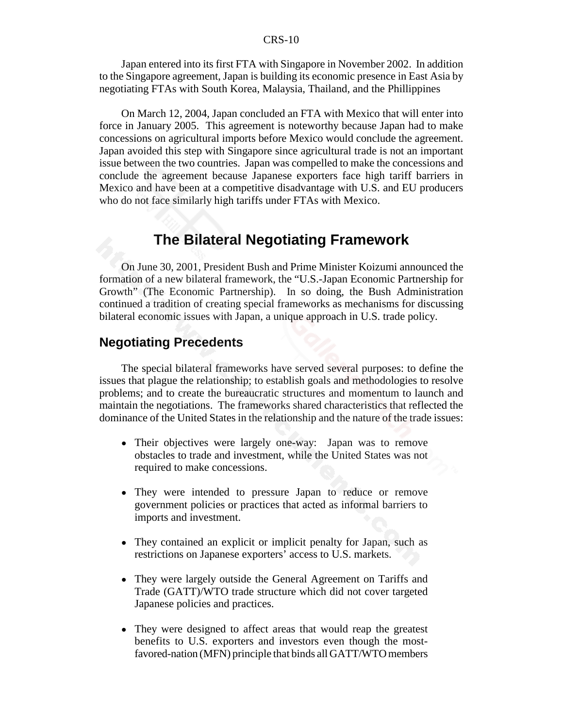Japan entered into its first FTA with Singapore in November 2002. In addition to the Singapore agreement, Japan is building its economic presence in East Asia by negotiating FTAs with South Korea, Malaysia, Thailand, and the Phillippines

On March 12, 2004, Japan concluded an FTA with Mexico that will enter into force in January 2005. This agreement is noteworthy because Japan had to make concessions on agricultural imports before Mexico would conclude the agreement. Japan avoided this step with Singapore since agricultural trade is not an important issue between the two countries. Japan was compelled to make the concessions and conclude the agreement because Japanese exporters face high tariff barriers in Mexico and have been at a competitive disadvantage with U.S. and EU producers who do not face similarly high tariffs under FTAs with Mexico.

# **The Bilateral Negotiating Framework**

On June 30, 2001, President Bush and Prime Minister Koizumi announced the formation of a new bilateral framework, the "U.S.-Japan Economic Partnership for Growth" (The Economic Partnership). In so doing, the Bush Administration continued a tradition of creating special frameworks as mechanisms for discussing bilateral economic issues with Japan, a unique approach in U.S. trade policy.

#### **Negotiating Precedents**

The special bilateral frameworks have served several purposes: to define the issues that plague the relationship; to establish goals and methodologies to resolve problems; and to create the bureaucratic structures and momentum to launch and maintain the negotiations. The frameworks shared characteristics that reflected the dominance of the United States in the relationship and the nature of the trade issues:

- Their objectives were largely one-way: Japan was to remove obstacles to trade and investment, while the United States was not required to make concessions.
- They were intended to pressure Japan to reduce or remove government policies or practices that acted as informal barriers to imports and investment.
- They contained an explicit or implicit penalty for Japan, such as restrictions on Japanese exporters' access to U.S. markets.
- They were largely outside the General Agreement on Tariffs and Trade (GATT)/WTO trade structure which did not cover targeted Japanese policies and practices.
- They were designed to affect areas that would reap the greatest benefits to U.S. exporters and investors even though the mostfavored-nation (MFN) principle that binds all GATT/WTO members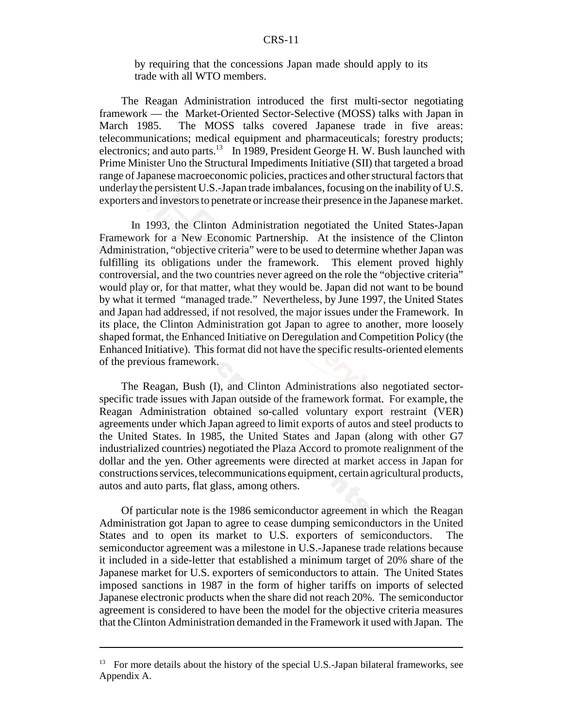by requiring that the concessions Japan made should apply to its trade with all WTO members.

The Reagan Administration introduced the first multi-sector negotiating framework — the Market-Oriented Sector-Selective (MOSS) talks with Japan in March 1985. The MOSS talks covered Japanese trade in five areas: telecommunications; medical equipment and pharmaceuticals; forestry products; electronics; and auto parts.<sup>13</sup> In 1989, President George H. W. Bush launched with Prime Minister Uno the Structural Impediments Initiative (SII) that targeted a broad range of Japanese macroeconomic policies, practices and other structural factors that underlay the persistent U.S.-Japan trade imbalances, focusing on the inability of U.S. exporters and investors to penetrate or increase their presence in the Japanese market.

 In 1993, the Clinton Administration negotiated the United States-Japan Framework for a New Economic Partnership. At the insistence of the Clinton Administration, "objective criteria" were to be used to determine whether Japan was fulfilling its obligations under the framework. This element proved highly controversial, and the two countries never agreed on the role the "objective criteria" would play or, for that matter, what they would be. Japan did not want to be bound by what it termed "managed trade." Nevertheless, by June 1997, the United States and Japan had addressed, if not resolved, the major issues under the Framework. In its place, the Clinton Administration got Japan to agree to another, more loosely shaped format, the Enhanced Initiative on Deregulation and Competition Policy (the Enhanced Initiative). This format did not have the specific results-oriented elements of the previous framework.

The Reagan, Bush (I), and Clinton Administrations also negotiated sectorspecific trade issues with Japan outside of the framework format. For example, the Reagan Administration obtained so-called voluntary export restraint (VER) agreements under which Japan agreed to limit exports of autos and steel products to the United States. In 1985, the United States and Japan (along with other G7 industrialized countries) negotiated the Plaza Accord to promote realignment of the dollar and the yen. Other agreements were directed at market access in Japan for constructions services, telecommunications equipment, certain agricultural products, autos and auto parts, flat glass, among others.

Of particular note is the 1986 semiconductor agreement in which the Reagan Administration got Japan to agree to cease dumping semiconductors in the United States and to open its market to U.S. exporters of semiconductors. The semiconductor agreement was a milestone in U.S.-Japanese trade relations because it included in a side-letter that established a minimum target of 20% share of the Japanese market for U.S. exporters of semiconductors to attain. The United States imposed sanctions in 1987 in the form of higher tariffs on imports of selected Japanese electronic products when the share did not reach 20%. The semiconductor agreement is considered to have been the model for the objective criteria measures that the Clinton Administration demanded in the Framework it used with Japan. The

 $13$  For more details about the history of the special U.S.-Japan bilateral frameworks, see Appendix A.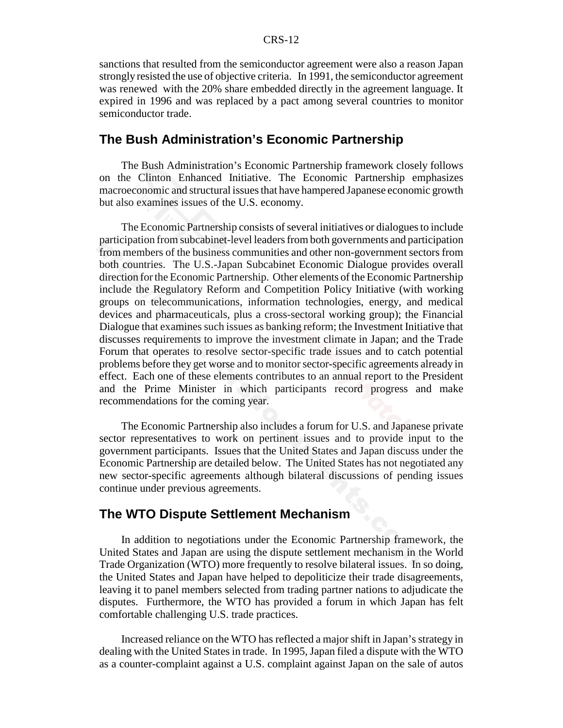sanctions that resulted from the semiconductor agreement were also a reason Japan strongly resisted the use of objective criteria. In 1991, the semiconductor agreement was renewed with the 20% share embedded directly in the agreement language. It expired in 1996 and was replaced by a pact among several countries to monitor semiconductor trade.

#### **The Bush Administration's Economic Partnership**

The Bush Administration's Economic Partnership framework closely follows on the Clinton Enhanced Initiative. The Economic Partnership emphasizes macroeconomic and structural issues that have hampered Japanese economic growth but also examines issues of the U.S. economy.

The Economic Partnership consists of several initiatives or dialogues to include participation from subcabinet-level leaders from both governments and participation from members of the business communities and other non-government sectors from both countries. The U.S.-Japan Subcabinet Economic Dialogue provides overall direction for the Economic Partnership. Other elements of the Economic Partnership include the Regulatory Reform and Competition Policy Initiative (with working groups on telecommunications, information technologies, energy, and medical devices and pharmaceuticals, plus a cross-sectoral working group); the Financial Dialogue that examines such issues as banking reform; the Investment Initiative that discusses requirements to improve the investment climate in Japan; and the Trade Forum that operates to resolve sector-specific trade issues and to catch potential problems before they get worse and to monitor sector-specific agreements already in effect. Each one of these elements contributes to an annual report to the President and the Prime Minister in which participants record progress and make recommendations for the coming year.

The Economic Partnership also includes a forum for U.S. and Japanese private sector representatives to work on pertinent issues and to provide input to the government participants. Issues that the United States and Japan discuss under the Economic Partnership are detailed below. The United States has not negotiated any new sector-specific agreements although bilateral discussions of pending issues continue under previous agreements.

#### **The WTO Dispute Settlement Mechanism**

In addition to negotiations under the Economic Partnership framework, the United States and Japan are using the dispute settlement mechanism in the World Trade Organization (WTO) more frequently to resolve bilateral issues. In so doing, the United States and Japan have helped to depoliticize their trade disagreements, leaving it to panel members selected from trading partner nations to adjudicate the disputes. Furthermore, the WTO has provided a forum in which Japan has felt comfortable challenging U.S. trade practices.

Increased reliance on the WTO has reflected a major shift in Japan's strategy in dealing with the United States in trade. In 1995, Japan filed a dispute with the WTO as a counter-complaint against a U.S. complaint against Japan on the sale of autos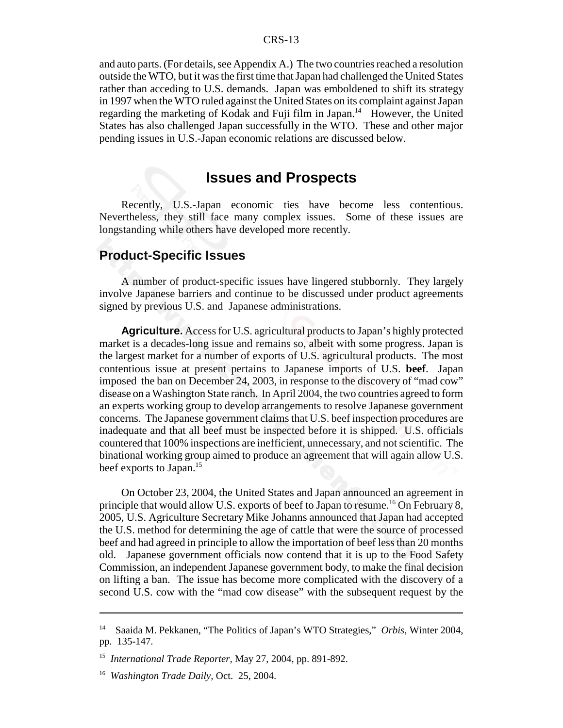and auto parts. (For details, see Appendix A.) The two countries reached a resolution outside the WTO, but it was the first time that Japan had challenged the United States rather than acceding to U.S. demands. Japan was emboldened to shift its strategy in 1997 when the WTO ruled against the United States on its complaint against Japan regarding the marketing of Kodak and Fuji film in Japan.<sup>14</sup> However, the United States has also challenged Japan successfully in the WTO. These and other major pending issues in U.S.-Japan economic relations are discussed below.

# **Issues and Prospects**

Recently, U.S.-Japan economic ties have become less contentious. Nevertheless, they still face many complex issues. Some of these issues are longstanding while others have developed more recently.

#### **Product-Specific Issues**

A number of product-specific issues have lingered stubbornly. They largely involve Japanese barriers and continue to be discussed under product agreements signed by previous U.S. and Japanese administrations.

**Agriculture.** Access for U.S. agricultural products to Japan's highly protected market is a decades-long issue and remains so, albeit with some progress. Japan is the largest market for a number of exports of U.S. agricultural products. The most contentious issue at present pertains to Japanese imports of U.S. **beef**. Japan imposed the ban on December 24, 2003, in response to the discovery of "mad cow" disease on a Washington State ranch. In April 2004, the two countries agreed to form an experts working group to develop arrangements to resolve Japanese government concerns. The Japanese government claims that U.S. beef inspection procedures are inadequate and that all beef must be inspected before it is shipped. U.S. officials countered that 100% inspections are inefficient, unnecessary, and not scientific. The binational working group aimed to produce an agreement that will again allow U.S. beef exports to Japan.<sup>15</sup>

On October 23, 2004, the United States and Japan announced an agreement in principle that would allow U.S. exports of beef to Japan to resume.<sup>16</sup> On February 8, 2005, U.S. Agriculture Secretary Mike Johanns announced that Japan had accepted the U.S. method for determining the age of cattle that were the source of processed beef and had agreed in principle to allow the importation of beef less than 20 months old. Japanese government officials now contend that it is up to the Food Safety Commission, an independent Japanese government body, to make the final decision on lifting a ban. The issue has become more complicated with the discovery of a second U.S. cow with the "mad cow disease" with the subsequent request by the

<sup>14</sup> Saaida M. Pekkanen, "The Politics of Japan's WTO Strategies," *Orbis,* Winter 2004, pp. 135-147.

<sup>15</sup> *International Trade Reporter,* May 27, 2004, pp. 891-892.

<sup>16</sup> *Washington Trade Daily,* Oct. 25, 2004.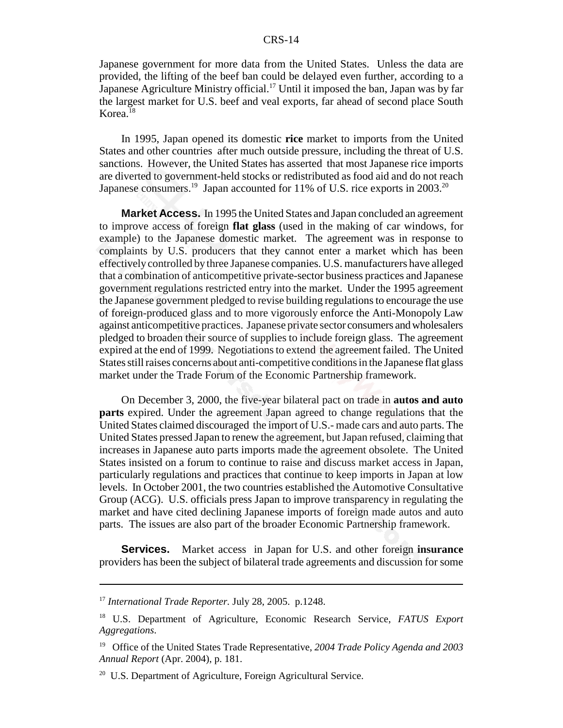Japanese government for more data from the United States. Unless the data are provided, the lifting of the beef ban could be delayed even further, according to a Japanese Agriculture Ministry official.<sup>17</sup> Until it imposed the ban, Japan was by far the largest market for U.S. beef and veal exports, far ahead of second place South  $K$ orea.<sup>18</sup>

In 1995, Japan opened its domestic **rice** market to imports from the United States and other countries after much outside pressure, including the threat of U.S. sanctions. However, the United States has asserted that most Japanese rice imports are diverted to government-held stocks or redistributed as food aid and do not reach Japanese consumers.<sup>19</sup> Japan accounted for 11% of U.S. rice exports in 2003.<sup>20</sup>

**Market Access.** In 1995 the United States and Japan concluded an agreement to improve access of foreign **flat glass** (used in the making of car windows, for example) to the Japanese domestic market. The agreement was in response to complaints by U.S. producers that they cannot enter a market which has been effectively controlled by three Japanese companies. U.S. manufacturers have alleged that a combination of anticompetitive private-sector business practices and Japanese government regulations restricted entry into the market. Under the 1995 agreement the Japanese government pledged to revise building regulations to encourage the use of foreign-produced glass and to more vigorously enforce the Anti-Monopoly Law against anticompetitive practices. Japanese private sector consumers and wholesalers pledged to broaden their source of supplies to include foreign glass. The agreement expired at the end of 1999. Negotiations to extend the agreement failed. The United States still raises concerns about anti-competitive conditions in the Japanese flat glass market under the Trade Forum of the Economic Partnership framework.

On December 3, 2000, the five-year bilateral pact on trade in **autos and auto parts** expired. Under the agreement Japan agreed to change regulations that the United States claimed discouraged the import of U.S.- made cars and auto parts. The United States pressed Japan to renew the agreement, but Japan refused, claiming that increases in Japanese auto parts imports made the agreement obsolete. The United States insisted on a forum to continue to raise and discuss market access in Japan, particularly regulations and practices that continue to keep imports in Japan at low levels. In October 2001, the two countries established the Automotive Consultative Group (ACG). U.S. officials press Japan to improve transparency in regulating the market and have cited declining Japanese imports of foreign made autos and auto parts. The issues are also part of the broader Economic Partnership framework.

**Services.** Market access in Japan for U.S. and other foreign **insurance** providers has been the subject of bilateral trade agreements and discussion for some

<sup>17</sup> *International Trade Reporter.* July 28, 2005. p.1248.

<sup>18</sup> U.S. Department of Agriculture, Economic Research Service, *FATUS Export Aggregations*.

<sup>19</sup> Office of the United States Trade Representative, *2004 Trade Policy Agenda and 2003 Annual Report* (Apr. 2004), p. 181.

<sup>&</sup>lt;sup>20</sup> U.S. Department of Agriculture, Foreign Agricultural Service.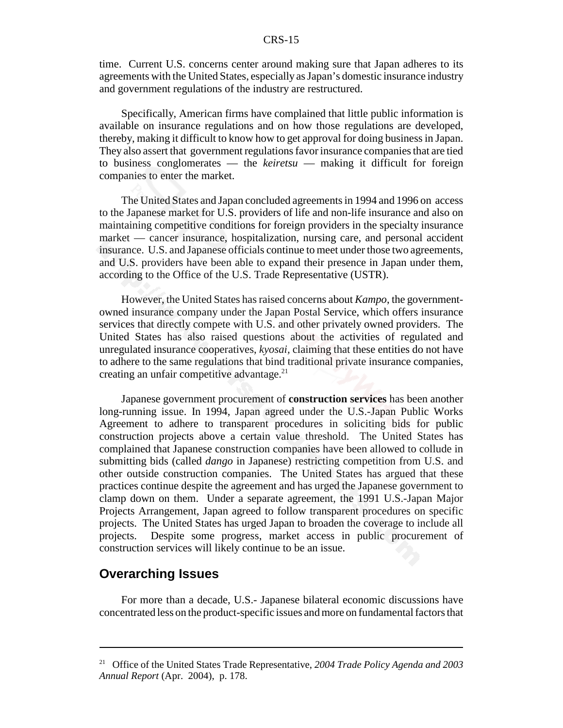time. Current U.S. concerns center around making sure that Japan adheres to its agreements with the United States, especially as Japan's domestic insurance industry and government regulations of the industry are restructured.

Specifically, American firms have complained that little public information is available on insurance regulations and on how those regulations are developed, thereby, making it difficult to know how to get approval for doing business in Japan. They also assert that government regulations favor insurance companies that are tied to business conglomerates — the *keiretsu* — making it difficult for foreign companies to enter the market.

The United States and Japan concluded agreements in 1994 and 1996 on access to the Japanese market for U.S. providers of life and non-life insurance and also on maintaining competitive conditions for foreign providers in the specialty insurance market — cancer insurance, hospitalization, nursing care, and personal accident insurance. U.S. and Japanese officials continue to meet under those two agreements, and U.S. providers have been able to expand their presence in Japan under them, according to the Office of the U.S. Trade Representative (USTR).

However, the United States has raised concerns about *Kampo*, the governmentowned insurance company under the Japan Postal Service, which offers insurance services that directly compete with U.S. and other privately owned providers. The United States has also raised questions about the activities of regulated and unregulated insurance cooperatives, *kyosai,* claiming that these entities do not have to adhere to the same regulations that bind traditional private insurance companies, creating an unfair competitive advantage.<sup>21</sup>

Japanese government procurement of **construction services** has been another long-running issue. In 1994, Japan agreed under the U.S.-Japan Public Works Agreement to adhere to transparent procedures in soliciting bids for public construction projects above a certain value threshold. The United States has complained that Japanese construction companies have been allowed to collude in submitting bids (called *dango* in Japanese) restricting competition from U.S. and other outside construction companies. The United States has argued that these practices continue despite the agreement and has urged the Japanese government to clamp down on them. Under a separate agreement, the 1991 U.S.-Japan Major Projects Arrangement, Japan agreed to follow transparent procedures on specific projects. The United States has urged Japan to broaden the coverage to include all projects. Despite some progress, market access in public procurement of construction services will likely continue to be an issue.

#### **Overarching Issues**

For more than a decade, U.S.- Japanese bilateral economic discussions have concentrated less on the product-specific issues and more on fundamental factors that

<sup>21</sup> Office of the United States Trade Representative, *2004 Trade Policy Agenda and 2003 Annual Report* (Apr. 2004), p. 178.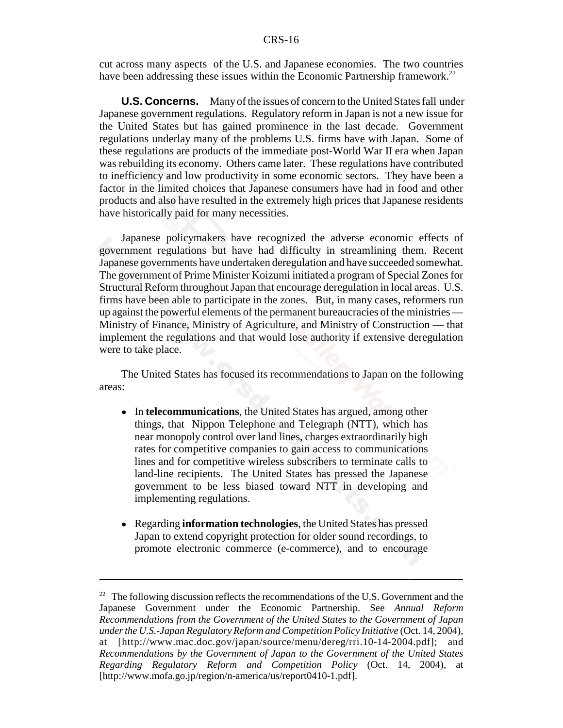cut across many aspects of the U.S. and Japanese economies. The two countries have been addressing these issues within the Economic Partnership framework.<sup>22</sup>

**U.S. Concerns.** Many of the issues of concern to the United States fall under Japanese government regulations. Regulatory reform in Japan is not a new issue for the United States but has gained prominence in the last decade. Government regulations underlay many of the problems U.S. firms have with Japan. Some of these regulations are products of the immediate post-World War II era when Japan was rebuilding its economy. Others came later. These regulations have contributed to inefficiency and low productivity in some economic sectors. They have been a factor in the limited choices that Japanese consumers have had in food and other products and also have resulted in the extremely high prices that Japanese residents have historically paid for many necessities.

Japanese policymakers have recognized the adverse economic effects of government regulations but have had difficulty in streamlining them. Recent Japanese governments have undertaken deregulation and have succeeded somewhat. The government of Prime Minister Koizumi initiated a program of Special Zones for Structural Reform throughout Japan that encourage deregulation in local areas. U.S. firms have been able to participate in the zones. But, in many cases, reformers run up against the powerful elements of the permanent bureaucracies of the ministries — Ministry of Finance, Ministry of Agriculture, and Ministry of Construction — that implement the regulations and that would lose authority if extensive deregulation were to take place.

The United States has focused its recommendations to Japan on the following areas:

- In **telecommunications**, the United States has argued, among other things, that Nippon Telephone and Telegraph (NTT), which has near monopoly control over land lines, charges extraordinarily high rates for competitive companies to gain access to communications lines and for competitive wireless subscribers to terminate calls to land-line recipients. The United States has pressed the Japanese government to be less biased toward NTT in developing and implementing regulations.
- ! Regarding **information technologies**, the United States has pressed Japan to extend copyright protection for older sound recordings, to promote electronic commerce (e-commerce), and to encourage

 $2<sup>22</sup>$  The following discussion reflects the recommendations of the U.S. Government and the Japanese Government under the Economic Partnership. See *Annual Reform Recommendations from the Government of the United States to the Government of Japan under the U.S.-Japan Regulatory Reform and Competition Policy Initiative* (Oct. 14, 2004), at [http://www.mac.doc.gov/japan/source/menu/dereg/rri.10-14-2004.pdf]; and *Recommendations by the Government of Japan to the Government of the United States Regarding Regulatory Reform and Competition Policy* (Oct. 14, 2004), at [http://www.mofa.go.jp/region/n-america/us/report0410-1.pdf].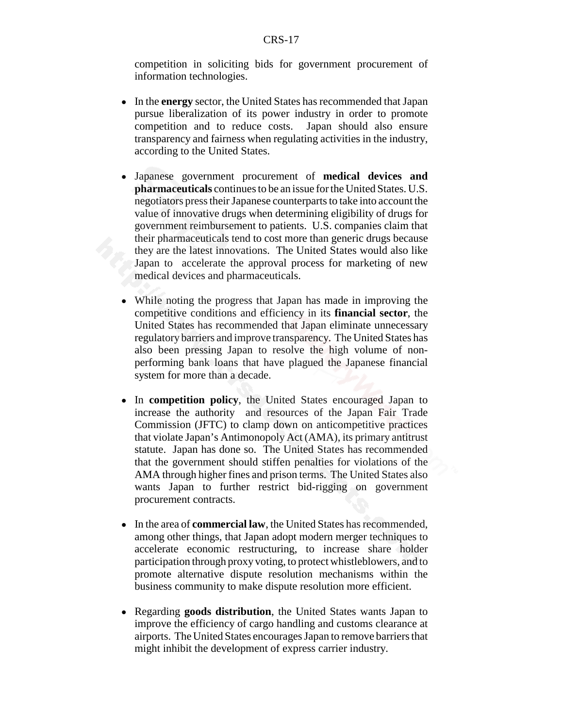competition in soliciting bids for government procurement of information technologies.

- ! In the **energy** sector, the United States has recommended that Japan pursue liberalization of its power industry in order to promote competition and to reduce costs. Japan should also ensure transparency and fairness when regulating activities in the industry, according to the United States.
- ! Japanese government procurement of **medical devices and pharmaceuticals** continues to be an issue for the United States. U.S. negotiators press their Japanese counterparts to take into account the value of innovative drugs when determining eligibility of drugs for government reimbursement to patients. U.S. companies claim that their pharmaceuticals tend to cost more than generic drugs because they are the latest innovations. The United States would also like Japan to accelerate the approval process for marketing of new medical devices and pharmaceuticals.
- ! While noting the progress that Japan has made in improving the competitive conditions and efficiency in its **financial sector**, the United States has recommended that Japan eliminate unnecessary regulatory barriers and improve transparency. The United States has also been pressing Japan to resolve the high volume of nonperforming bank loans that have plagued the Japanese financial system for more than a decade.
- ! In **competition policy**, the United States encouraged Japan to increase the authority and resources of the Japan Fair Trade Commission (JFTC) to clamp down on anticompetitive practices that violate Japan's Antimonopoly Act (AMA), its primary antitrust statute. Japan has done so. The United States has recommended that the government should stiffen penalties for violations of the AMA through higher fines and prison terms. The United States also wants Japan to further restrict bid-rigging on government procurement contracts.
- ! In the area of **commercial law**, the United States has recommended, among other things, that Japan adopt modern merger techniques to accelerate economic restructuring, to increase share holder participation through proxy voting, to protect whistleblowers, and to promote alternative dispute resolution mechanisms within the business community to make dispute resolution more efficient.
- ! Regarding **goods distribution**, the United States wants Japan to improve the efficiency of cargo handling and customs clearance at airports. The United States encourages Japan to remove barriers that might inhibit the development of express carrier industry.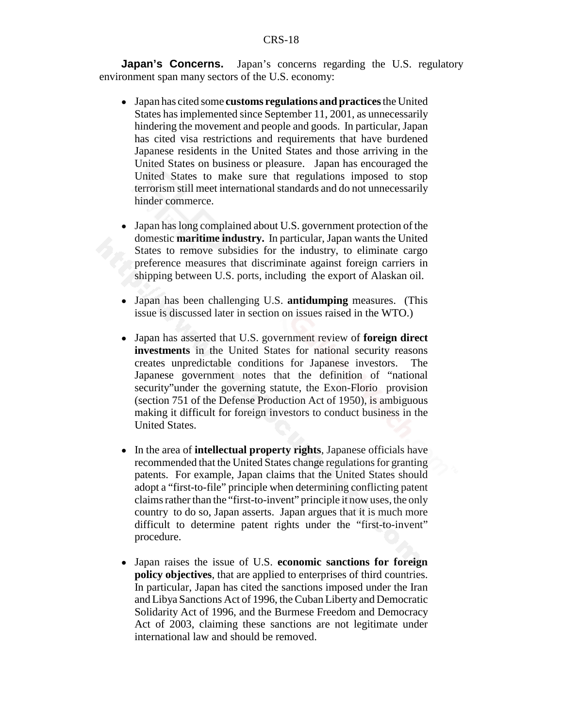**Japan's Concerns.** Japan's concerns regarding the U.S. regulatory environment span many sectors of the U.S. economy:

- ! Japan has cited some **customs regulations and practices** the United States has implemented since September 11, 2001, as unnecessarily hindering the movement and people and goods. In particular, Japan has cited visa restrictions and requirements that have burdened Japanese residents in the United States and those arriving in the United States on business or pleasure. Japan has encouraged the United States to make sure that regulations imposed to stop terrorism still meet international standards and do not unnecessarily hinder commerce.
- Japan has long complained about U.S. government protection of the domestic **maritime industry.** In particular, Japan wants the United States to remove subsidies for the industry, to eliminate cargo preference measures that discriminate against foreign carriers in shipping between U.S. ports, including the export of Alaskan oil.
- ! Japan has been challenging U.S. **antidumping** measures. (This issue is discussed later in section on issues raised in the WTO.)
- ! Japan has asserted that U.S. government review of **foreign direct investments** in the United States for national security reasons creates unpredictable conditions for Japanese investors. The Japanese government notes that the definition of "national security"under the governing statute, the Exon-Florio provision (section 751 of the Defense Production Act of 1950), is ambiguous making it difficult for foreign investors to conduct business in the United States.
- ! In the area of **intellectual property rights**, Japanese officials have recommended that the United States change regulations for granting patents. For example, Japan claims that the United States should adopt a "first-to-file" principle when determining conflicting patent claims rather than the "first-to-invent" principle it now uses, the only country to do so, Japan asserts. Japan argues that it is much more difficult to determine patent rights under the "first-to-invent" procedure.
- ! Japan raises the issue of U.S. **economic sanctions for foreign policy objectives**, that are applied to enterprises of third countries. In particular, Japan has cited the sanctions imposed under the Iran and Libya Sanctions Act of 1996, the Cuban Liberty and Democratic Solidarity Act of 1996, and the Burmese Freedom and Democracy Act of 2003, claiming these sanctions are not legitimate under international law and should be removed.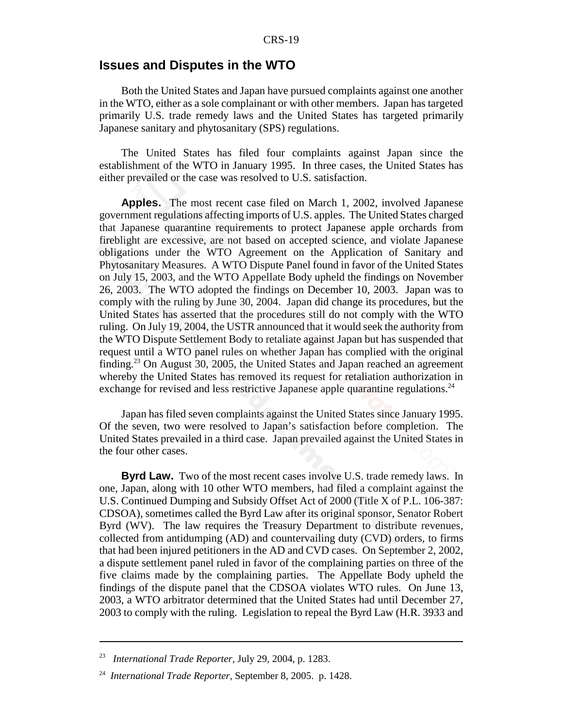# **Issues and Disputes in the WTO**

Both the United States and Japan have pursued complaints against one another in the WTO, either as a sole complainant or with other members. Japan has targeted primarily U.S. trade remedy laws and the United States has targeted primarily Japanese sanitary and phytosanitary (SPS) regulations.

The United States has filed four complaints against Japan since the establishment of the WTO in January 1995. In three cases, the United States has either prevailed or the case was resolved to U.S. satisfaction.

**Apples.** The most recent case filed on March 1, 2002, involved Japanese government regulations affecting imports of U.S. apples. The United States charged that Japanese quarantine requirements to protect Japanese apple orchards from fireblight are excessive, are not based on accepted science, and violate Japanese obligations under the WTO Agreement on the Application of Sanitary and Phytosanitary Measures. A WTO Dispute Panel found in favor of the United States on July 15, 2003, and the WTO Appellate Body upheld the findings on November 26, 2003. The WTO adopted the findings on December 10, 2003. Japan was to comply with the ruling by June 30, 2004. Japan did change its procedures, but the United States has asserted that the procedures still do not comply with the WTO ruling. On July 19, 2004, the USTR announced that it would seek the authority from the WTO Dispute Settlement Body to retaliate against Japan but has suspended that request until a WTO panel rules on whether Japan has complied with the original finding.23 On August 30, 2005, the United States and Japan reached an agreement whereby the United States has removed its request for retaliation authorization in exchange for revised and less restrictive Japanese apple quarantine regulations.<sup>24</sup>

Japan has filed seven complaints against the United States since January 1995. Of the seven, two were resolved to Japan's satisfaction before completion. The United States prevailed in a third case. Japan prevailed against the United States in the four other cases.

**Byrd Law.** Two of the most recent cases involve U.S. trade remedy laws. In one, Japan, along with 10 other WTO members, had filed a complaint against the U.S. Continued Dumping and Subsidy Offset Act of 2000 (Title X of P.L. 106-387: CDSOA), sometimes called the Byrd Law after its original sponsor, Senator Robert Byrd (WV). The law requires the Treasury Department to distribute revenues, collected from antidumping (AD) and countervailing duty (CVD) orders, to firms that had been injured petitioners in the AD and CVD cases. On September 2, 2002, a dispute settlement panel ruled in favor of the complaining parties on three of the five claims made by the complaining parties. The Appellate Body upheld the findings of the dispute panel that the CDSOA violates WTO rules. On June 13, 2003, a WTO arbitrator determined that the United States had until December 27, 2003 to comply with the ruling. Legislation to repeal the Byrd Law (H.R. 3933 and

<sup>23</sup> *International Trade Reporter,* July 29, 2004, p. 1283.

<sup>24</sup> *International Trade Reporter,* September 8, 2005. p. 1428.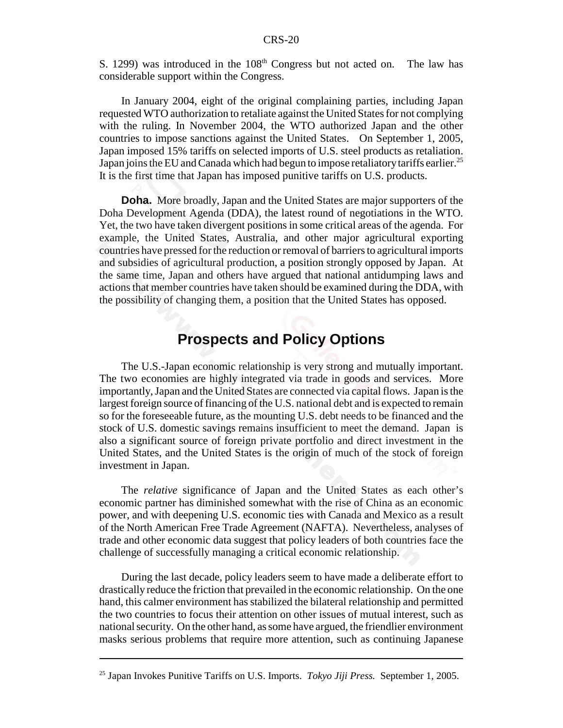S. 1299) was introduced in the  $108<sup>th</sup>$  Congress but not acted on. The law has considerable support within the Congress.

In January 2004, eight of the original complaining parties, including Japan requested WTO authorization to retaliate against the United States for not complying with the ruling. In November 2004, the WTO authorized Japan and the other countries to impose sanctions against the United States. On September 1, 2005, Japan imposed 15% tariffs on selected imports of U.S. steel products as retaliation. Japan joins the EU and Canada which had begun to impose retaliatory tariffs earlier.<sup>25</sup> It is the first time that Japan has imposed punitive tariffs on U.S. products.

**Doha.** More broadly, Japan and the United States are major supporters of the Doha Development Agenda (DDA), the latest round of negotiations in the WTO. Yet, the two have taken divergent positions in some critical areas of the agenda. For example, the United States, Australia, and other major agricultural exporting countries have pressed for the reduction or removal of barriers to agricultural imports and subsidies of agricultural production, a position strongly opposed by Japan. At the same time, Japan and others have argued that national antidumping laws and actions that member countries have taken should be examined during the DDA, with the possibility of changing them, a position that the United States has opposed.

# **Prospects and Policy Options**

The U.S.-Japan economic relationship is very strong and mutually important. The two economies are highly integrated via trade in goods and services. More importantly, Japan and the United States are connected via capital flows. Japan is the largest foreign source of financing of the U.S. national debt and is expected to remain so for the foreseeable future, as the mounting U.S. debt needs to be financed and the stock of U.S. domestic savings remains insufficient to meet the demand. Japan is also a significant source of foreign private portfolio and direct investment in the United States, and the United States is the origin of much of the stock of foreign investment in Japan.

The *relative* significance of Japan and the United States as each other's economic partner has diminished somewhat with the rise of China as an economic power, and with deepening U.S. economic ties with Canada and Mexico as a result of the North American Free Trade Agreement (NAFTA). Nevertheless, analyses of trade and other economic data suggest that policy leaders of both countries face the challenge of successfully managing a critical economic relationship.

During the last decade, policy leaders seem to have made a deliberate effort to drastically reduce the friction that prevailed in the economic relationship. On the one hand, this calmer environment has stabilized the bilateral relationship and permitted the two countries to focus their attention on other issues of mutual interest, such as national security. On the other hand, as some have argued, the friendlier environment masks serious problems that require more attention, such as continuing Japanese

<sup>25</sup> Japan Invokes Punitive Tariffs on U.S. Imports. *Tokyo Jiji Press.* September 1, 2005.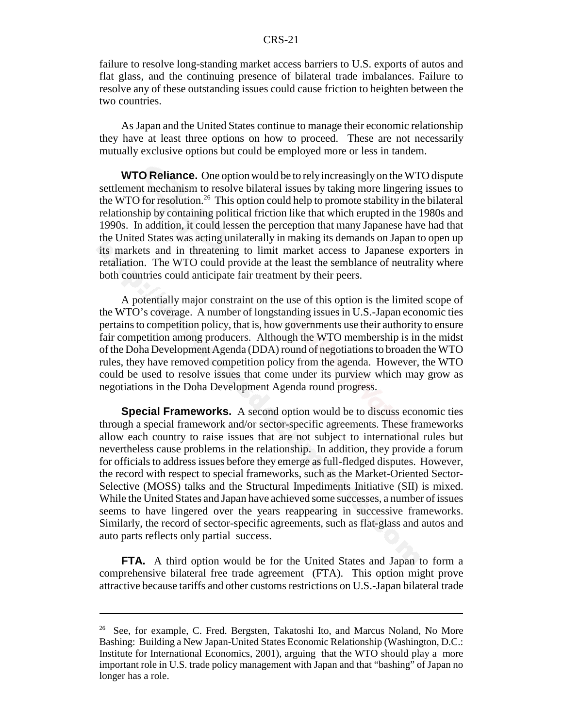failure to resolve long-standing market access barriers to U.S. exports of autos and flat glass, and the continuing presence of bilateral trade imbalances. Failure to resolve any of these outstanding issues could cause friction to heighten between the two countries.

As Japan and the United States continue to manage their economic relationship they have at least three options on how to proceed. These are not necessarily mutually exclusive options but could be employed more or less in tandem.

**WTO Reliance.** One option would be to rely increasingly on the WTO dispute settlement mechanism to resolve bilateral issues by taking more lingering issues to the WTO for resolution.<sup>26</sup> This option could help to promote stability in the bilateral relationship by containing political friction like that which erupted in the 1980s and 1990s. In addition, it could lessen the perception that many Japanese have had that the United States was acting unilaterally in making its demands on Japan to open up its markets and in threatening to limit market access to Japanese exporters in retaliation. The WTO could provide at the least the semblance of neutrality where both countries could anticipate fair treatment by their peers.

A potentially major constraint on the use of this option is the limited scope of the WTO's coverage. A number of longstanding issues in U.S.-Japan economic ties pertains to competition policy, that is, how governments use their authority to ensure fair competition among producers. Although the WTO membership is in the midst of the Doha Development Agenda (DDA) round of negotiations to broaden the WTO rules, they have removed competition policy from the agenda. However, the WTO could be used to resolve issues that come under its purview which may grow as negotiations in the Doha Development Agenda round progress.

**Special Frameworks.** A second option would be to discuss economic ties through a special framework and/or sector-specific agreements. These frameworks allow each country to raise issues that are not subject to international rules but nevertheless cause problems in the relationship. In addition, they provide a forum for officials to address issues before they emerge as full-fledged disputes. However, the record with respect to special frameworks, such as the Market-Oriented Sector-Selective (MOSS) talks and the Structural Impediments Initiative (SII) is mixed. While the United States and Japan have achieved some successes, a number of issues seems to have lingered over the years reappearing in successive frameworks. Similarly, the record of sector-specific agreements, such as flat-glass and autos and auto parts reflects only partial success.

**FTA.** A third option would be for the United States and Japan to form a comprehensive bilateral free trade agreement (FTA). This option might prove attractive because tariffs and other customs restrictions on U.S.-Japan bilateral trade

<sup>&</sup>lt;sup>26</sup> See, for example, C. Fred. Bergsten, Takatoshi Ito, and Marcus Noland, No More Bashing: Building a New Japan-United States Economic Relationship (Washington, D.C.: Institute for International Economics, 2001), arguing that the WTO should play a more important role in U.S. trade policy management with Japan and that "bashing" of Japan no longer has a role.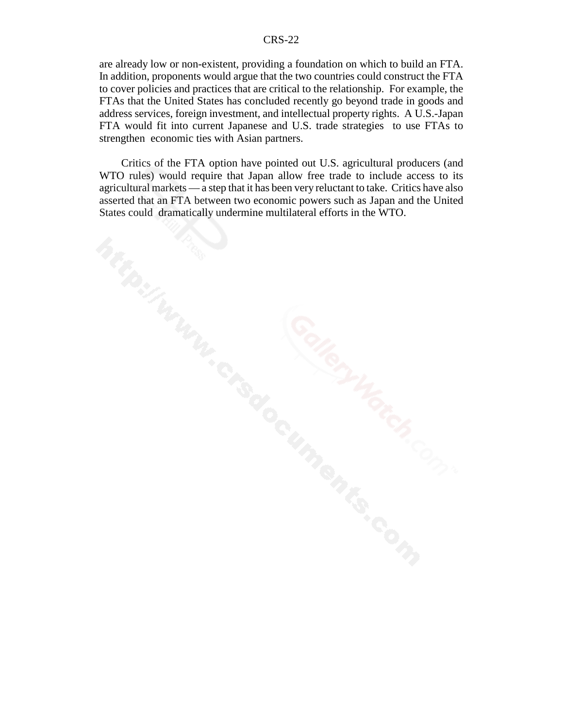are already low or non-existent, providing a foundation on which to build an FTA. In addition, proponents would argue that the two countries could construct the FTA to cover policies and practices that are critical to the relationship. For example, the FTAs that the United States has concluded recently go beyond trade in goods and address services, foreign investment, and intellectual property rights. A U.S.-Japan FTA would fit into current Japanese and U.S. trade strategies to use FTAs to strengthen economic ties with Asian partners.

Critics of the FTA option have pointed out U.S. agricultural producers (and WTO rules) would require that Japan allow free trade to include access to its agricultural markets — a step that it has been very reluctant to take. Critics have also asserted that an FTA between two economic powers such as Japan and the United States could dramatically undermine multilateral efforts in the WTO.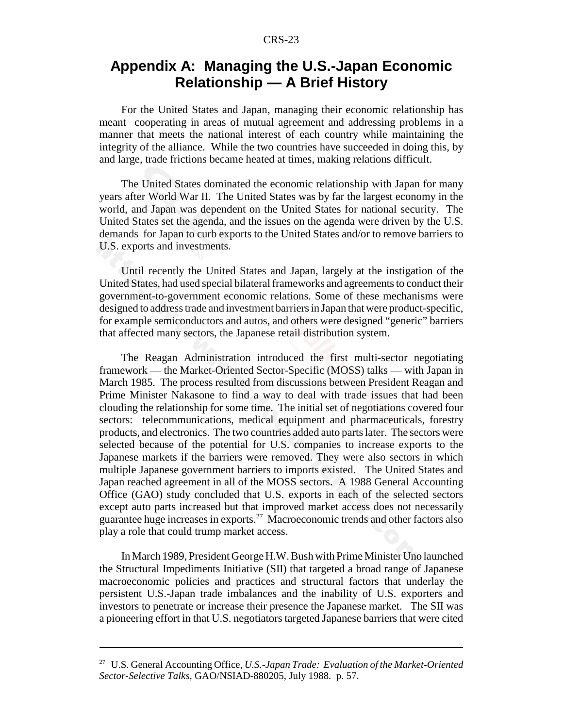# **Appendix A: Managing the U.S.-Japan Economic Relationship — A Brief History**

For the United States and Japan, managing their economic relationship has meant cooperating in areas of mutual agreement and addressing problems in a manner that meets the national interest of each country while maintaining the integrity of the alliance. While the two countries have succeeded in doing this, by and large, trade frictions became heated at times, making relations difficult.

The United States dominated the economic relationship with Japan for many years after World War II. The United States was by far the largest economy in the world, and Japan was dependent on the United States for national security. The United States set the agenda, and the issues on the agenda were driven by the U.S. demands for Japan to curb exports to the United States and/or to remove barriers to U.S. exports and investments.

Until recently the United States and Japan, largely at the instigation of the United States, had used special bilateral frameworks and agreements to conduct their government-to-government economic relations. Some of these mechanisms were designed to address trade and investment barriers in Japan that were product-specific, for example semiconductors and autos, and others were designed "generic" barriers that affected many sectors, the Japanese retail distribution system.

The Reagan Administration introduced the first multi-sector negotiating framework — the Market-Oriented Sector-Specific (MOSS) talks — with Japan in March 1985. The process resulted from discussions between President Reagan and Prime Minister Nakasone to find a way to deal with trade issues that had been clouding the relationship for some time. The initial set of negotiations covered four sectors: telecommunications, medical equipment and pharmaceuticals, forestry products, and electronics. The two countries added auto parts later. The sectors were selected because of the potential for U.S. companies to increase exports to the Japanese markets if the barriers were removed. They were also sectors in which multiple Japanese government barriers to imports existed. The United States and Japan reached agreement in all of the MOSS sectors. A 1988 General Accounting Office (GAO) study concluded that U.S. exports in each of the selected sectors except auto parts increased but that improved market access does not necessarily guarantee huge increases in exports.<sup>27</sup> Macroeconomic trends and other factors also play a role that could trump market access.

In March 1989, President George H.W. Bush with Prime Minister Uno launched the Structural Impediments Initiative (SII) that targeted a broad range of Japanese macroeconomic policies and practices and structural factors that underlay the persistent U.S.-Japan trade imbalances and the inability of U.S. exporters and investors to penetrate or increase their presence the Japanese market. The SII was a pioneering effort in that U.S. negotiators targeted Japanese barriers that were cited

<sup>27</sup> U.S. General Accounting Office, *U.S.-Japan Trade: Evaluation of the Market-Oriented Sector-Selective Talks,* GAO/NSIAD-880205, July 1988. p. 57.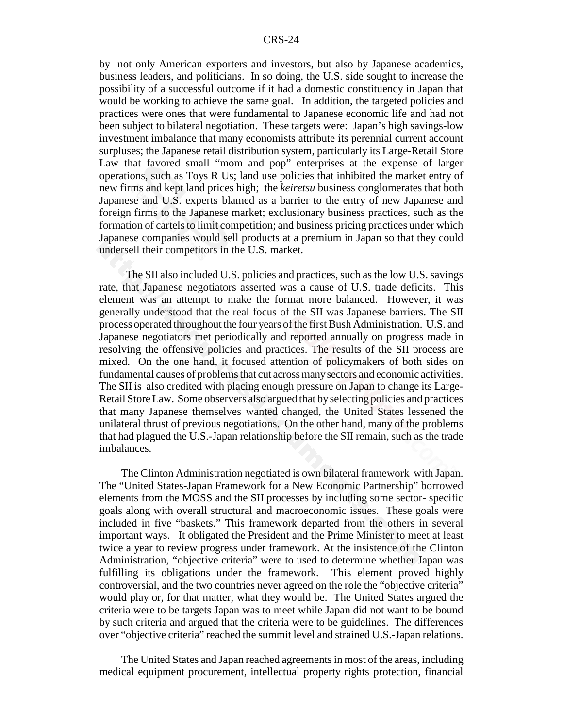by not only American exporters and investors, but also by Japanese academics, business leaders, and politicians. In so doing, the U.S. side sought to increase the possibility of a successful outcome if it had a domestic constituency in Japan that would be working to achieve the same goal. In addition, the targeted policies and practices were ones that were fundamental to Japanese economic life and had not been subject to bilateral negotiation. These targets were: Japan's high savings-low investment imbalance that many economists attribute its perennial current account surpluses; the Japanese retail distribution system, particularly its Large-Retail Store Law that favored small "mom and pop" enterprises at the expense of larger operations, such as Toys R Us; land use policies that inhibited the market entry of new firms and kept land prices high; the *keiretsu* business conglomerates that both Japanese and U.S. experts blamed as a barrier to the entry of new Japanese and foreign firms to the Japanese market; exclusionary business practices, such as the formation of cartels to limit competition; and business pricing practices under which Japanese companies would sell products at a premium in Japan so that they could undersell their competitors in the U.S. market.

 The SII also included U.S. policies and practices, such as the low U.S. savings rate, that Japanese negotiators asserted was a cause of U.S. trade deficits. This element was an attempt to make the format more balanced. However, it was generally understood that the real focus of the SII was Japanese barriers. The SII process operated throughout the four years of the first Bush Administration. U.S. and Japanese negotiators met periodically and reported annually on progress made in resolving the offensive policies and practices. The results of the SII process are mixed. On the one hand, it focused attention of policymakers of both sides on fundamental causes of problems that cut across many sectors and economic activities. The SII is also credited with placing enough pressure on Japan to change its Large-Retail Store Law. Some observers also argued that by selecting policies and practices that many Japanese themselves wanted changed, the United States lessened the unilateral thrust of previous negotiations. On the other hand, many of the problems that had plagued the U.S.-Japan relationship before the SII remain, such as the trade imbalances.

The Clinton Administration negotiated is own bilateral framework with Japan. The "United States-Japan Framework for a New Economic Partnership" borrowed elements from the MOSS and the SII processes by including some sector- specific goals along with overall structural and macroeconomic issues. These goals were included in five "baskets." This framework departed from the others in several important ways. It obligated the President and the Prime Minister to meet at least twice a year to review progress under framework. At the insistence of the Clinton Administration, "objective criteria" were to used to determine whether Japan was fulfilling its obligations under the framework. This element proved highly controversial, and the two countries never agreed on the role the "objective criteria" would play or, for that matter, what they would be. The United States argued the criteria were to be targets Japan was to meet while Japan did not want to be bound by such criteria and argued that the criteria were to be guidelines. The differences over "objective criteria" reached the summit level and strained U.S.-Japan relations.

The United States and Japan reached agreements in most of the areas, including medical equipment procurement, intellectual property rights protection, financial